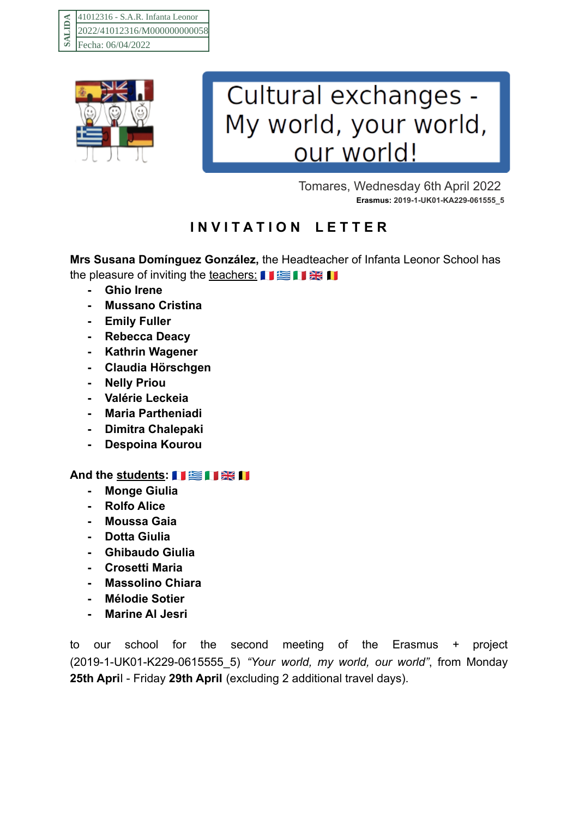

## Cultural exchanges -My world, your world, our world!

Tomares, Wednesday 6th April 2022 **Erasmus: 2019-1-UK01-KA229-061555\_5**

## **I N V I T A T I O N L E T T E R**

**Mrs Susana Domínguez González,** the Headteacher of Infanta Leonor School has the pleasure of inviting the teachers: 口室口器口

- **- Ghio Irene**
- **- Mussano Cristina**
- **- Emily Fuller**
- **- Rebecca Deacy**
- **- Kathrin Wagener**
- **- Claudia Hörschgen**
- **- Nelly Priou**
- **- Valérie Leckeia**
- **- Maria Partheniadi**
- **- Dimitra Chalepaki**
- **- Despoina Kourou**

## **And the students:**

- **- Monge Giulia**
- **- Rolfo Alice**
- **- Moussa Gaia**
- **- Dotta Giulia**
- **- Ghibaudo Giulia**
- **- Crosetti Maria**
- **- Massolino Chiara**
- **- Mélodie Sotier**
- **- Marine Al Jesri**

to our school for the second meeting of the Erasmus + project (2019-1-UK01-K229-0615555\_5) *"Your world, my world, our world"*, from Monday **25th Apri**l - Friday **29th April** (excluding 2 additional travel days).